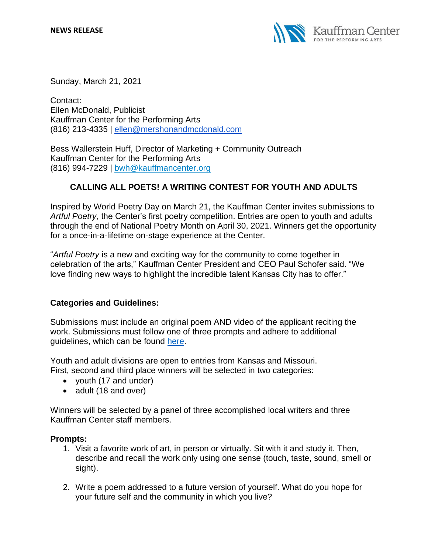

Sunday, March 21, 2021

Contact: Ellen McDonald, Publicist Kauffman Center for the Performing Arts (816) 213-4335 | [ellen@mershonandmcdonald.com](mailto:ellen@mershonandmcdonald.com)

Bess Wallerstein Huff, Director of Marketing + Community Outreach Kauffman Center for the Performing Arts (816) 994-7229 | [bwh@kauffmancenter.org](mailto:bwh@kauffmancenter.org)

# **CALLING ALL POETS! A WRITING CONTEST FOR YOUTH AND ADULTS**

Inspired by World Poetry Day on March 21, the Kauffman Center invites submissions to *Artful Poetry*, the Center's first poetry competition. Entries are open to youth and adults through the end of National Poetry Month on April 30, 2021. Winners get the opportunity for a once-in-a-lifetime on-stage experience at the Center.

"*Artful Poetry* is a new and exciting way for the community to come together in celebration of the arts," Kauffman Center President and CEO Paul Schofer said. "We love finding new ways to highlight the incredible talent Kansas City has to offer."

# **Categories and Guidelines:**

Submissions must include an original poem AND video of the applicant reciting the work. Submissions must follow one of three prompts and adhere to additional guidelines, which can be found [here.](http://www.kauffmancenter.org/artful-poetry)

Youth and adult divisions are open to entries from Kansas and Missouri. First, second and third place winners will be selected in two categories:

- youth (17 and under)
- adult (18 and over)

Winners will be selected by a panel of three accomplished local writers and three Kauffman Center staff members.

# **Prompts:**

- 1. Visit a favorite work of art, in person or virtually. Sit with it and study it. Then, describe and recall the work only using one sense (touch, taste, sound, smell or sight).
- 2. Write a poem addressed to a future version of yourself. What do you hope for your future self and the community in which you live?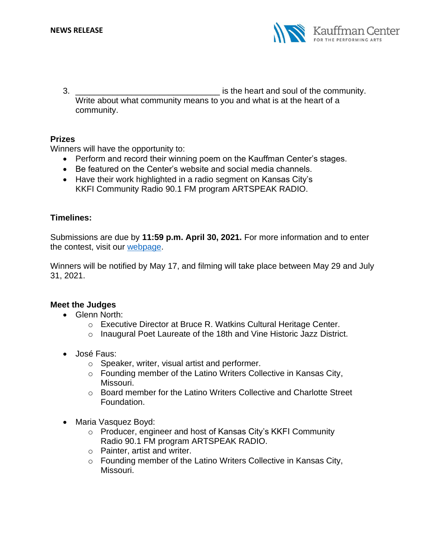

3. **3. Example 2. 1. EXECUTE: 1. EXECUTE: 1. EXECUTE: 1. EXECUTE: 1. EXECUTE: 1. EXECUTE: 1. EXECUTE: 1. EXECUTE: 1. EXECUTE: 1. EXECUTE: 1. EXECUTE: 1. EXECUTE: 1. EXE** Write about what community means to you and what is at the heart of a community.

# **Prizes**

Winners will have the opportunity to:

- Perform and record their winning poem on the Kauffman Center's stages.
- Be featured on the Center's website and social media channels.
- Have their work highlighted in a radio segment on Kansas City's KKFI Community Radio 90.1 FM program ARTSPEAK RADIO.

# **Timelines:**

Submissions are due by **11:59 p.m. April 30, 2021.** For more information and to enter the contest, visit our [webpage.](http://www.kauffmancenter.org/artful-poetry)

Winners will be notified by May 17, and filming will take place between May 29 and July 31, 2021.

# **Meet the Judges**

- Glenn North:
	- o Executive Director at Bruce R. Watkins Cultural Heritage Center.
	- o Inaugural Poet Laureate of the 18th and Vine Historic Jazz District.
- José Faus:
	- o Speaker, writer, visual artist and performer.
	- o Founding member of the Latino Writers Collective in Kansas City, Missouri.
	- o Board member for the Latino Writers Collective and Charlotte Street Foundation.
- Maria Vasquez Boyd:
	- o Producer, engineer and host of Kansas City's KKFI Community Radio 90.1 FM program ARTSPEAK RADIO.
	- o Painter, artist and writer.
	- o Founding member of the Latino Writers Collective in Kansas City, Missouri.